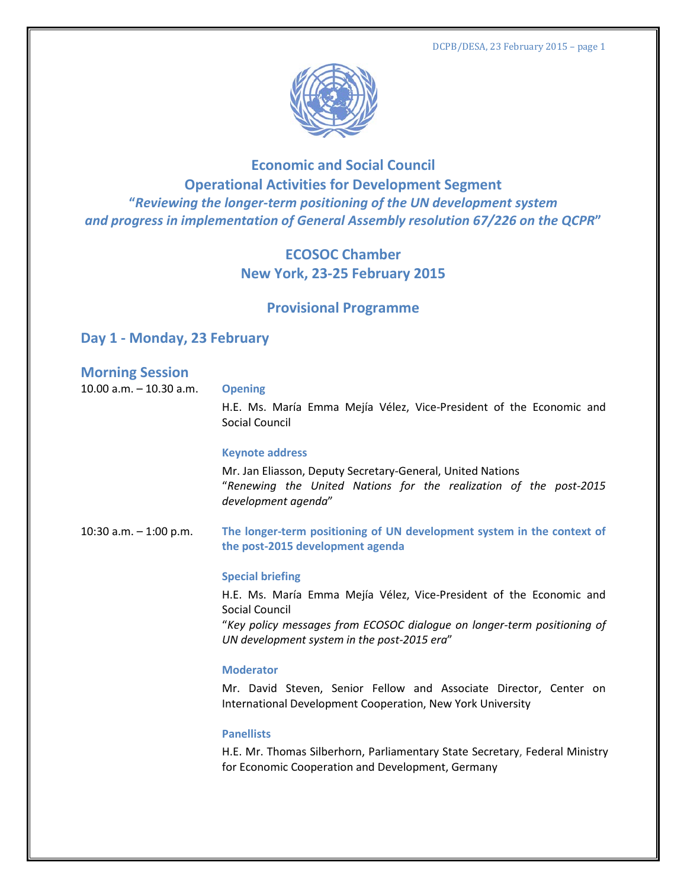

# **Economic and Social Council Operational Activities for Development Segment "***Reviewing the longer-term positioning of the UN development system and progress in implementation of General Assembly resolution 67/226 on the QCPR***"**

# **ECOSOC Chamber New York, 23-25 February 2015**

# **Provisional Programme**

# **Day 1 - Monday, 23 February**

# **Morning Session**

10.00 a.m. – 10.30 a.m. **Opening**

H.E. Ms. María Emma Mejía Vélez, Vice-President of the Economic and Social Council

### **Keynote address**

Mr. Jan Eliasson, Deputy Secretary-General, United Nations "*Renewing the United Nations for the realization of the post-2015 development agenda*"

10:30 a.m. – 1:00 p.m. **The longer-term positioning of UN development system in the context of the post-2015 development agenda**

### **Special briefing**

H.E. Ms. María Emma Mejía Vélez, Vice-President of the Economic and Social Council

"*Key policy messages from ECOSOC dialogue on longer-term positioning of UN development system in the post-2015 era*"

### **Moderator**

Mr. David Steven, Senior Fellow and Associate Director, Center on International Development Cooperation, New York University

### **Panellists**

H.E. Mr. Thomas Silberhorn, Parliamentary State Secretary, Federal Ministry for Economic Cooperation and Development, Germany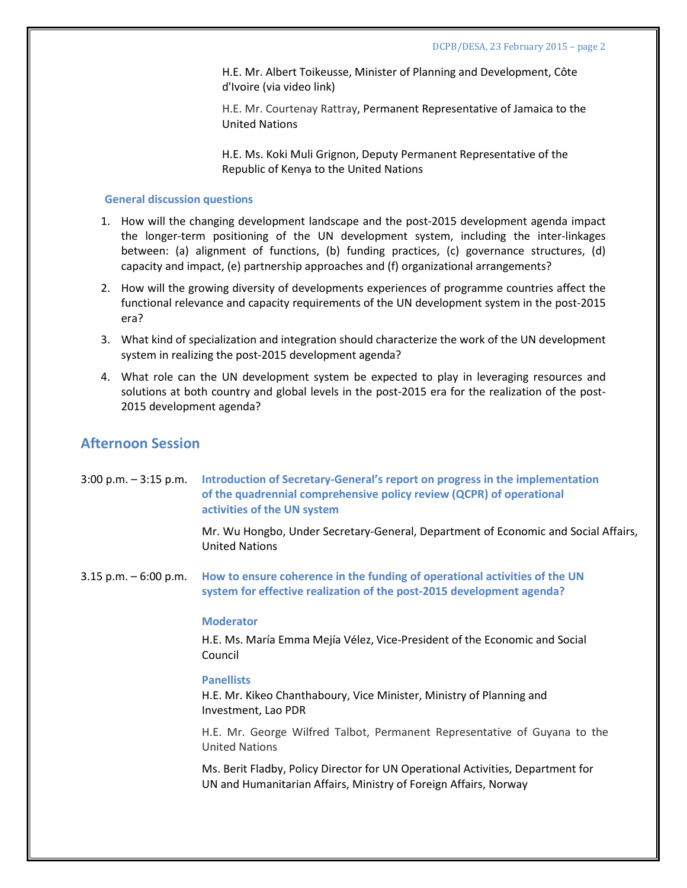H.E. Mr. Albert Toikeusse, Minister of Planning and Development, Côte d'Ivoire (via video link)

H.E. Mr. Courtenay Rattray, Permanent Representative of Jamaica to the United Nations

H.E. Ms. Koki Muli Grignon, Deputy Permanent Representative of the Republic of Kenya to the United Nations

#### **General discussion questions**

- 1. How will the changing development landscape and the post-2015 development agenda impact the longer-term positioning of the UN development system, including the inter-linkages between: (a) alignment of functions, (b) funding practices, (c) governance structures, (d) capacity and impact, (e) partnership approaches and (f) organizational arrangements?
- 2. How will the growing diversity of developments experiences of programme countries affect the functional relevance and capacity requirements of the UN development system in the post-2015 era?
- 3. What kind of specialization and integration should characterize the work of the UN development system in realizing the post-2015 development agenda?
- 4. What role can the UN development system be expected to play in leveraging resources and solutions at both country and global levels in the post-2015 era for the realization of the post-2015 development agenda?

# **Afternoon Session**

| $3:00$ p.m. $-3:15$ p.m. | Introduction of Secretary-General's report on progress in the implementation<br>of the quadrennial comprehensive policy review (QCPR) of operational<br>activities of the UN system |
|--------------------------|-------------------------------------------------------------------------------------------------------------------------------------------------------------------------------------|
|                          | Mr. Wu Hongbo, Under Secretary-General, Department of Economic and Social Affairs,<br><b>United Nations</b>                                                                         |
| $3.15$ p.m. $-6:00$ p.m. | How to ensure coherence in the funding of operational activities of the UN<br>system for effective realization of the post-2015 development agenda?                                 |
|                          | <b>Moderator</b>                                                                                                                                                                    |
|                          | H.E. Ms. María Emma Mejía Vélez, Vice-President of the Economic and Social<br>Council                                                                                               |
|                          | <b>Panellists</b><br>H.E. Mr. Kikeo Chanthaboury, Vice Minister, Ministry of Planning and<br>Investment, Lao PDR                                                                    |
|                          | H.E. Mr. George Wilfred Talbot, Permanent Representative of Guyana to the<br><b>United Nations</b>                                                                                  |
|                          | Ms. Berit Fladby, Policy Director for UN Operational Activities, Department for<br>UN and Humanitarian Affairs, Ministry of Foreign Affairs, Norway                                 |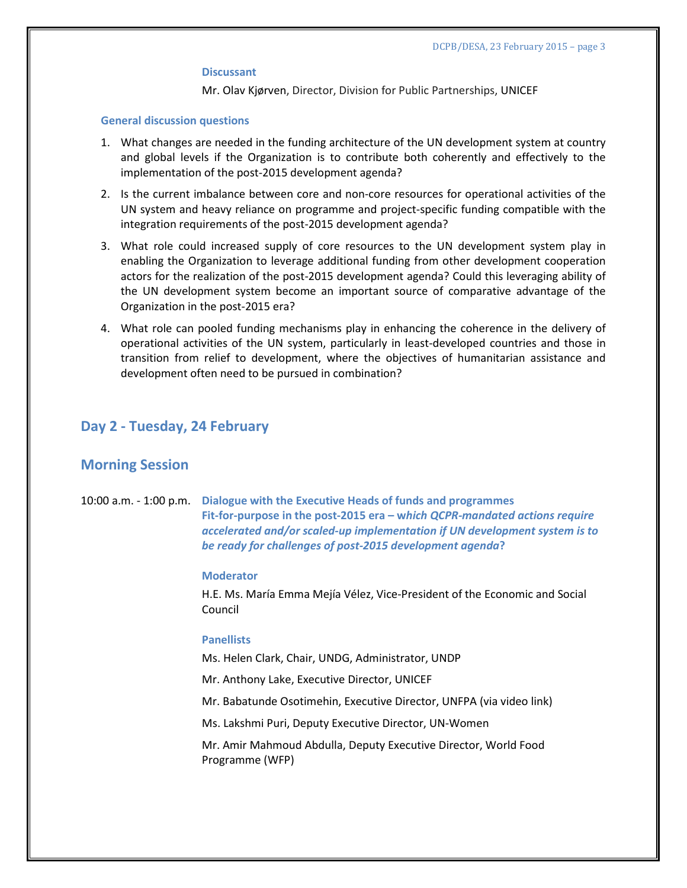#### **Discussant**

Mr. Olav Kjørven, Director, Division for Public Partnerships, UNICEF

#### **General discussion questions**

- 1. What changes are needed in the funding architecture of the UN development system at country and global levels if the Organization is to contribute both coherently and effectively to the implementation of the post-2015 development agenda?
- 2. Is the current imbalance between core and non-core resources for operational activities of the UN system and heavy reliance on programme and project-specific funding compatible with the integration requirements of the post-2015 development agenda?
- 3. What role could increased supply of core resources to the UN development system play in enabling the Organization to leverage additional funding from other development cooperation actors for the realization of the post-2015 development agenda? Could this leveraging ability of the UN development system become an important source of comparative advantage of the Organization in the post-2015 era?
- 4. What role can pooled funding mechanisms play in enhancing the coherence in the delivery of operational activities of the UN system, particularly in least-developed countries and those in transition from relief to development, where the objectives of humanitarian assistance and development often need to be pursued in combination?

## **Day 2 - Tuesday, 24 February**

## **Morning Session**

10:00 a.m. - 1:00 p.m. **Dialogue with the Executive Heads of funds and programmes Fit-for-purpose in the post-2015 era – w***hich QCPR-mandated actions require accelerated and/or scaled-up implementation if UN development system is to be ready for challenges of post-2015 development agenda***?** 

#### **Moderator**

H.E. Ms. María Emma Mejía Vélez, Vice-President of the Economic and Social Council

#### **Panellists**

Ms. Helen Clark, Chair, UNDG, Administrator, UNDP

Mr. Anthony Lake, Executive Director, UNICEF

Mr. Babatunde Osotimehin, Executive Director, UNFPA (via video link)

Ms. Lakshmi Puri, Deputy Executive Director, UN-Women

Mr. Amir Mahmoud Abdulla, Deputy Executive Director, World Food Programme (WFP)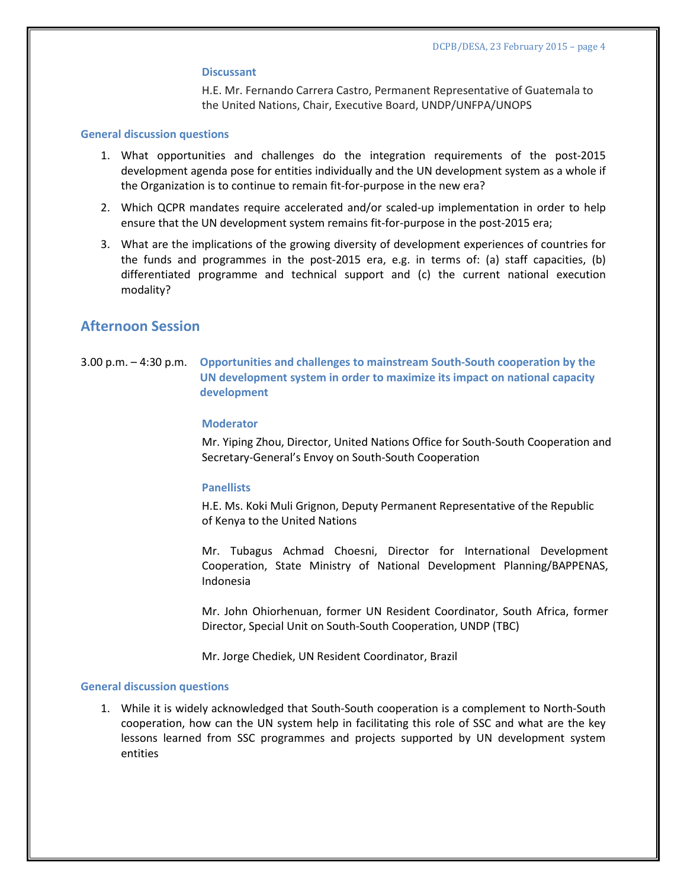#### **Discussant**

H.E. Mr. Fernando Carrera Castro, Permanent Representative of Guatemala to the United Nations, Chair, Executive Board, UNDP/UNFPA/UNOPS

#### **General discussion questions**

- 1. What opportunities and challenges do the integration requirements of the post-2015 development agenda pose for entities individually and the UN development system as a whole if the Organization is to continue to remain fit-for-purpose in the new era?
- 2. Which QCPR mandates require accelerated and/or scaled-up implementation in order to help ensure that the UN development system remains fit-for-purpose in the post-2015 era;
- 3. What are the implications of the growing diversity of development experiences of countries for the funds and programmes in the post-2015 era, e.g. in terms of: (a) staff capacities, (b) differentiated programme and technical support and (c) the current national execution modality?

## **Afternoon Session**

3.00 p.m. – 4:30 p.m. **Opportunities and challenges to mainstream South-South cooperation by the UN development system in order to maximize its impact on national capacity development** 

#### **Moderator**

Mr. Yiping Zhou, Director, United Nations Office for South-South Cooperation and Secretary-General's Envoy on South-South Cooperation

#### **Panellists**

H.E. Ms. Koki Muli Grignon, Deputy Permanent Representative of the Republic of Kenya to the United Nations

Mr. Tubagus Achmad Choesni, Director for International Development Cooperation, State Ministry of National Development Planning/BAPPENAS, Indonesia

Mr. John Ohiorhenuan, former UN Resident Coordinator, South Africa, former Director, Special Unit on South-South Cooperation, UNDP (TBC)

Mr. Jorge Chediek, UN Resident Coordinator, Brazil

#### **General discussion questions**

1. While it is widely acknowledged that South-South cooperation is a complement to North-South cooperation, how can the UN system help in facilitating this role of SSC and what are the key lessons learned from SSC programmes and projects supported by UN development system entities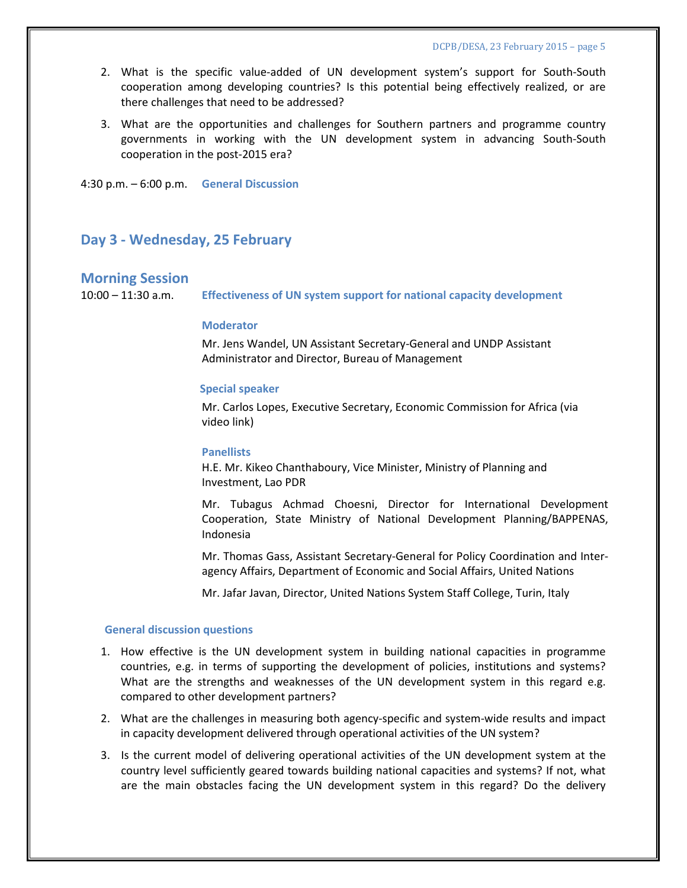- 2. What is the specific value-added of UN development system's support for South-South cooperation among developing countries? Is this potential being effectively realized, or are there challenges that need to be addressed?
- 3. What are the opportunities and challenges for Southern partners and programme country governments in working with the UN development system in advancing South-South cooperation in the post-2015 era?

4:30 p.m. – 6:00 p.m. **General Discussion**

## **Day 3 - Wednesday, 25 February**

### **Morning Session**

10:00 – 11:30 a.m. **Effectiveness of UN system support for national capacity development**

### **Moderator**

Mr. Jens Wandel, UN Assistant Secretary-General and UNDP Assistant Administrator and Director, Bureau of Management

#### **Special speaker**

Mr. Carlos Lopes, Executive Secretary, Economic Commission for Africa (via video link)

#### **Panellists**

H.E. Mr. Kikeo Chanthaboury, Vice Minister, Ministry of Planning and Investment, Lao PDR

Mr. Tubagus Achmad Choesni, Director for International Development Cooperation, State Ministry of National Development Planning/BAPPENAS, Indonesia

Mr. Thomas Gass, Assistant Secretary-General for Policy Coordination and Interagency Affairs, Department of Economic and Social Affairs, United Nations

Mr. Jafar Javan, Director, United Nations System Staff College, Turin, Italy

#### **General discussion questions**

- 1. How effective is the UN development system in building national capacities in programme countries, e.g. in terms of supporting the development of policies, institutions and systems? What are the strengths and weaknesses of the UN development system in this regard e.g. compared to other development partners?
- 2. What are the challenges in measuring both agency-specific and system-wide results and impact in capacity development delivered through operational activities of the UN system?
- 3. Is the current model of delivering operational activities of the UN development system at the country level sufficiently geared towards building national capacities and systems? If not, what are the main obstacles facing the UN development system in this regard? Do the delivery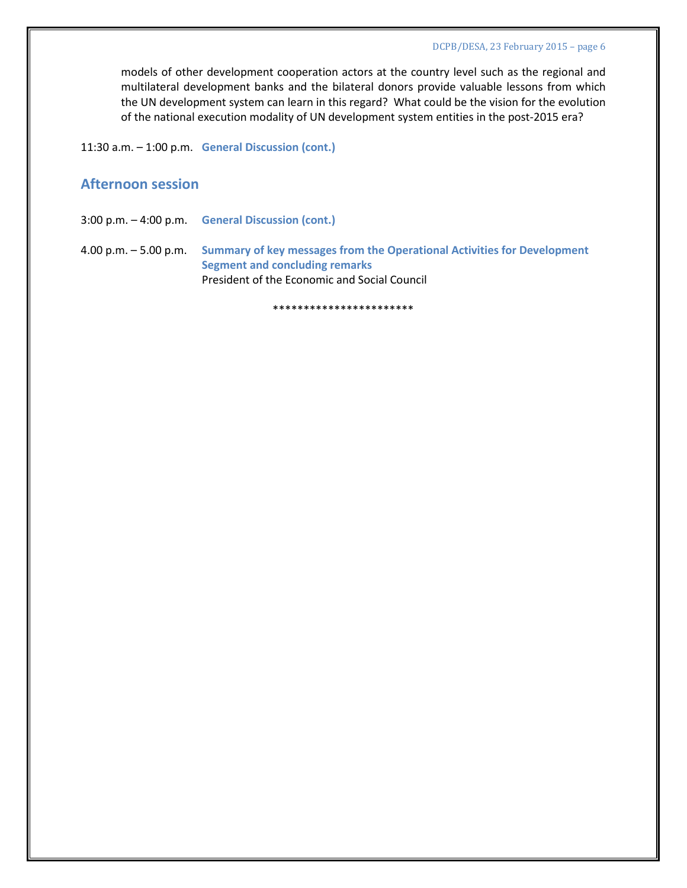models of other development cooperation actors at the country level such as the regional and multilateral development banks and the bilateral donors provide valuable lessons from which the UN development system can learn in this regard? What could be the vision for the evolution of the national execution modality of UN development system entities in the post-2015 era?

11:30 a.m. – 1:00 p.m. **General Discussion (cont.)**

# **Afternoon session**

3:00 p.m. – 4:00 p.m. **General Discussion (cont.)**

4.00 p.m. – 5.00 p.m. **Summary of key messages from the Operational Activities for Development Segment and concluding remarks** President of the Economic and Social Council

\*\*\*\*\*\*\*\*\*\*\*\*\*\*\*\*\*\*\*\*\*\*\*